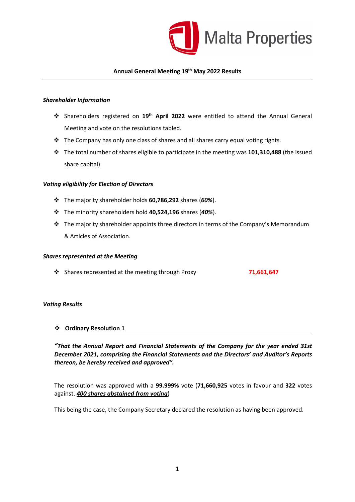

### Annual General Meeting 19<sup>th</sup> May 2022 Results

### Shareholder Information

- Shareholders registered on 19th April 2022 were entitled to attend the Annual General Meeting and vote on the resolutions tabled.
- $\cdot$  The Company has only one class of shares and all shares carry equal voting rights.
- $\div$  The total number of shares eligible to participate in the meeting was 101,310,488 (the issued share capital).

#### Voting eligibility for Election of Directors

- $\div$  The majority shareholder holds 60,786,292 shares (60%).
- $\cdot$  The minority shareholders hold 40,524,196 shares (40%).
- $\cdot \cdot$  The majority shareholder appoints three directors in terms of the Company's Memorandum & Articles of Association.

### Shares represented at the Meeting

◆ Shares represented at the meeting through Proxy 71,661,647

### Voting Results

#### Ordinary Resolution 1

"That the Annual Report and Financial Statements of the Company for the year ended 31st December 2021, comprising the Financial Statements and the Directors' and Auditor's Reports thereon, be hereby received and approved".

The resolution was approved with a 99.999% vote (71,660,925 votes in favour and 322 votes against. 400 shares abstained from voting)

This being the case, the Company Secretary declared the resolution as having been approved.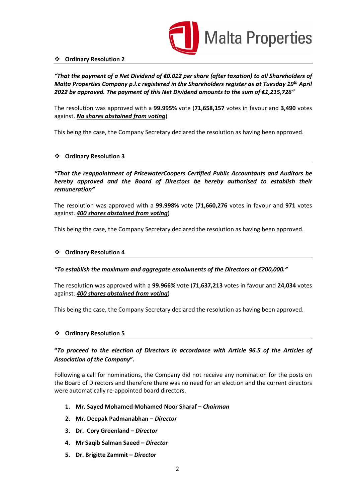

### Ordinary Resolution 2

"That the payment of a Net Dividend of  $\epsilon$ 0.012 per share (after taxation) to all Shareholders of Malta Properties Company p.l.c registered in the Shareholders register as at Tuesday 19<sup>th</sup> April 2022 be approved. The payment of this Net Dividend amounts to the sum of  $\epsilon$ 1,215,726"

The resolution was approved with a 99.995% vote (71,658,157 votes in favour and 3,490 votes against. No shares abstained from voting)

This being the case, the Company Secretary declared the resolution as having been approved.

## Ordinary Resolution 3

"That the reappointment of PricewaterCoopers Certified Public Accountants and Auditors be hereby approved and the Board of Directors be hereby authorised to establish their remuneration"

The resolution was approved with a 99.998% vote (71,660,276 votes in favour and 971 votes against. 400 shares abstained from voting)

This being the case, the Company Secretary declared the resolution as having been approved.

### Ordinary Resolution 4

### "To establish the maximum and aggregate emoluments of the Directors at  $\epsilon$ 200,000."

The resolution was approved with a 99.966% vote (71,637,213 votes in favour and 24,034 votes against. 400 shares abstained from voting)

This being the case, the Company Secretary declared the resolution as having been approved.

### Ordinary Resolution 5

# "To proceed to the election of Directors in accordance with Article 96.5 of the Articles of Association of the Company".

Following a call for nominations, the Company did not receive any nomination for the posts on the Board of Directors and therefore there was no need for an election and the current directors were automatically re-appointed board directors.

- 1. Mr. Sayed Mohamed Mohamed Noor Sharaf Chairman
- 2. Mr. Deepak Padmanabhan Director
- 3. Dr. Cory Greenland Director
- 4. Mr Saqib Salman Saeed Director
- 5. Dr. Brigitte Zammit Director